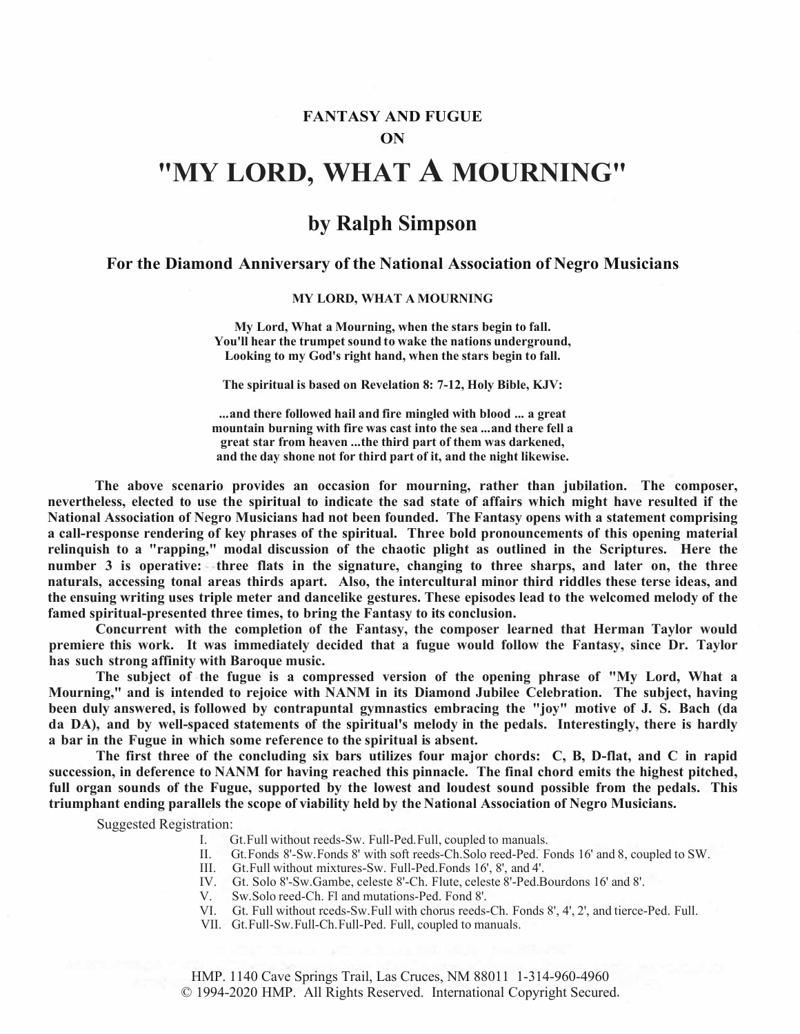### **FANTASY AND FUGUE ON**

# **"MY LORD, WHAT A MOURNING"**

## **by Ralph Simpson**

### **For the Diamond Anniversary of the National Association of Negro Musicians**

#### **MY LORD, WHAT A MOURNING**

**My Lord, What a Mourning, when the stars begin to fall. You'llhear the trumpet soundto wake the nationsunderground, Looking to my God's right hand, when the stars begin to fall.** 

**The spiritual is based on Revelation 8: 7-12, Holy Bible, KJV:** 

**...and there followed hail andfire mingled with blood ... a great mountain burning with fire was cast into the sea ...and there fell a great star from heaven ...the third part of them was darkened, andtheday shone not for thirdpart of it, and the night likewise.** 

**The above scenario provides an occasion for mourning, rather than jubilation. The composer,**  nevertheless, elected to use the spiritual to indicate the sad state of affairs which might have resulted if the **National Association of Negro Musicians had not been founded. The Fantasy opens with a statement comprising a call-response rendering of key phrases of the spiritual. Three bold pronouncements of this opening material relinquish to a "rapping," modal discussion of the chaotic plight as outlined in the Scriptures. Here the number 3 is operative: three flats in the signature, changing to three sharps, and later on, the three naturals, accessing tonal areas thirds apart. Also, the intercultural minor third riddles these terse ideas, and the ensuing writing uses triple meter and dancelike gestures. These episodes lead to the welcomed melody of the famed spiritual-presented three times, to bring the Fantasy to its conclusion.** 

**Concurrent with the completion of the Fantasy, the composer learned that Herman Taylor would premiere this work. It was immediately decided that a fugue would follow the Fantasy, since Dr. Taylor has such strong affinity with Baroque music.** 

**The subject of the fugue is a compressed version of the opening phrase of "My Lord, What a Mourning," and is intended to rejoice with NANM in its Diamond Jubilee Celebration. The subject, having been duly answered, is followed by contrapuntal gymnastics embracing the "joy" motive of J. S. Bach (da da DA), and by well-spaced statements of the spiritual's melody in the pedals. Interestingly, there is hardly a bar in the Fugue in which some reference to the spiritual is absent.**

The first three of the concluding six bars utilizes four major chords: C, B, D-flat, and C in rapid **succession, in deference to NANM for having reached this pinnacle. The final chord emits the highest pitched,**  full organ sounds of the Fugue, supported by the lowest and loudest sound possible from the pedals. This **triumphant ending parallels the scope of viability held by the National Association of Negro Musicians.** 

Suggested Registration:

- I. Gt.Full without reeds-Sw. Full-Ped.Full, coupled to manuals.
- II. Gt.Fonds 8'-Sw.Fonds 8' with soft reeds-Ch.Solo reed-Ped. Fonds 16' and 8, coupled to SW.
	- III. Gt.Full without mixtures-Sw. Full-Ped.Fonds 16', 8', and 4'.
- IV. Gt. Solo 8'-Sw.Gambe, celeste 8'-Ch. Flute, celeste 8'-Ped.Bourdons 16' and 8'.
- V. Sw.Solo reed-Ch. Fl and mutations-Ped. Fond 8'.
- VI. Gt. Full without rceds-Sw.Full with chorus reeds-Ch. Fonds 8', 4', 2', and tierce-Ped. Full.
- VII. Gt.Full-Sw.Full-Ch.Full-Ped. Full, coupled to manuals.

HMP. 1140 Cave Springs Trail, Las Cruces, NM 88011 1-314-960-4960 © 1994-2020 HMP. All Rights Reserved. International Copyright Secured.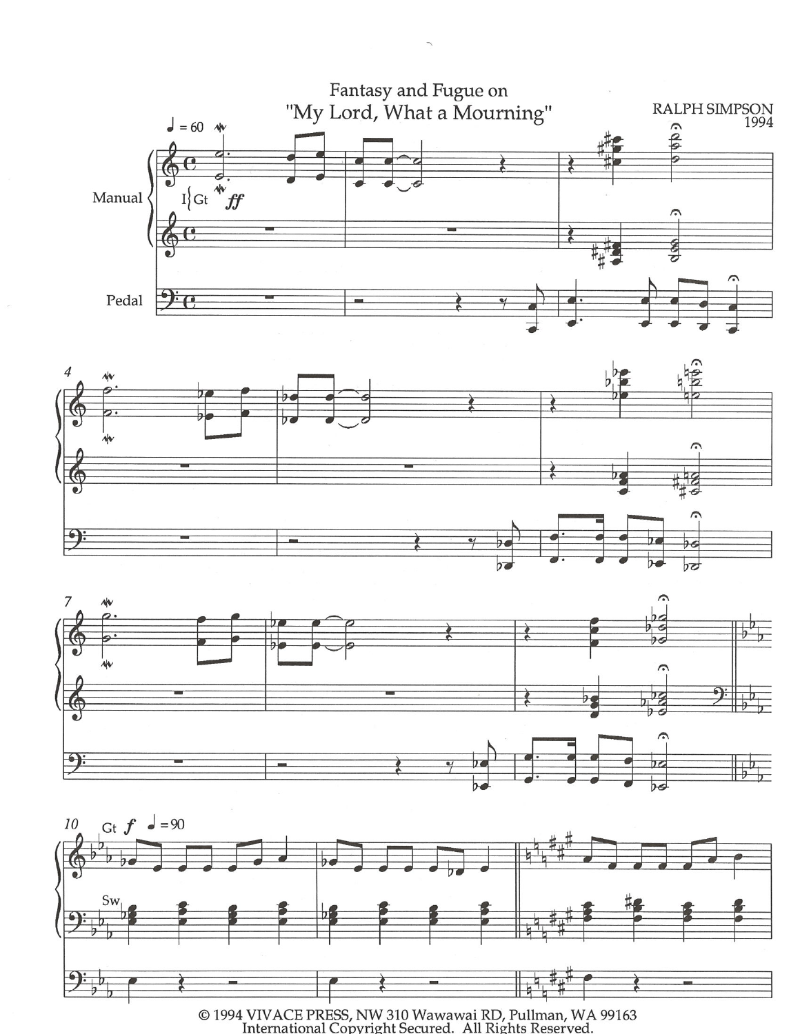